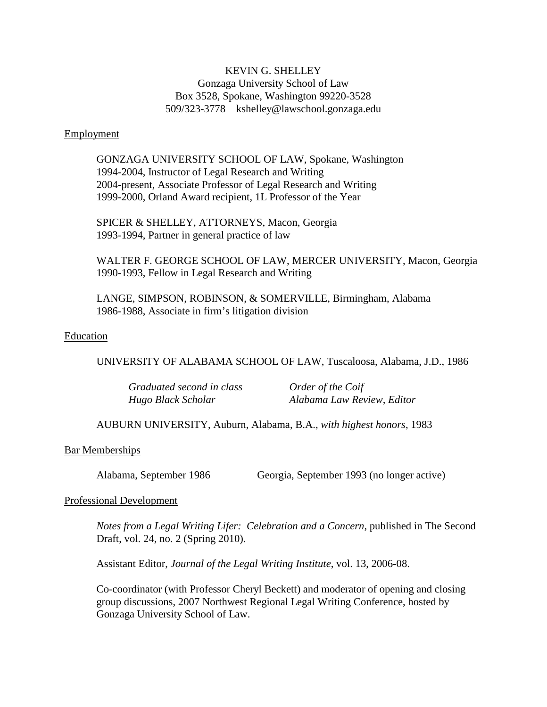# KEVIN G. SHELLEY Gonzaga University School of Law Box 3528, Spokane, Washington 99220-3528 509/323-3778 kshelley@lawschool.gonzaga.edu

### Employment

GONZAGA UNIVERSITY SCHOOL OF LAW, Spokane, Washington 1994-2004, Instructor of Legal Research and Writing 2004-present, Associate Professor of Legal Research and Writing 1999-2000, Orland Award recipient, 1L Professor of the Year

SPICER & SHELLEY, ATTORNEYS, Macon, Georgia 1993-1994, Partner in general practice of law

WALTER F. GEORGE SCHOOL OF LAW, MERCER UNIVERSITY, Macon, Georgia 1990-1993, Fellow in Legal Research and Writing

LANGE, SIMPSON, ROBINSON, & SOMERVILLE, Birmingham, Alabama 1986-1988, Associate in firm's litigation division

#### Education

UNIVERSITY OF ALABAMA SCHOOL OF LAW, Tuscaloosa, Alabama, J.D., 1986

| Graduated second in class | Order of the Coif          |
|---------------------------|----------------------------|
| Hugo Black Scholar        | Alabama Law Review, Editor |

AUBURN UNIVERSITY, Auburn, Alabama, B.A., *with highest honors*, 1983

## Bar Memberships

Alabama, September 1986 Georgia, September 1993 (no longer active)

#### Professional Development

*Notes from a Legal Writing Lifer: Celebration and a Concern*, published in The Second Draft, vol. 24, no. 2 (Spring 2010).

Assistant Editor, *Journal of the Legal Writing Institute*, vol. 13, 2006-08.

Co-coordinator (with Professor Cheryl Beckett) and moderator of opening and closing group discussions, 2007 Northwest Regional Legal Writing Conference, hosted by Gonzaga University School of Law.